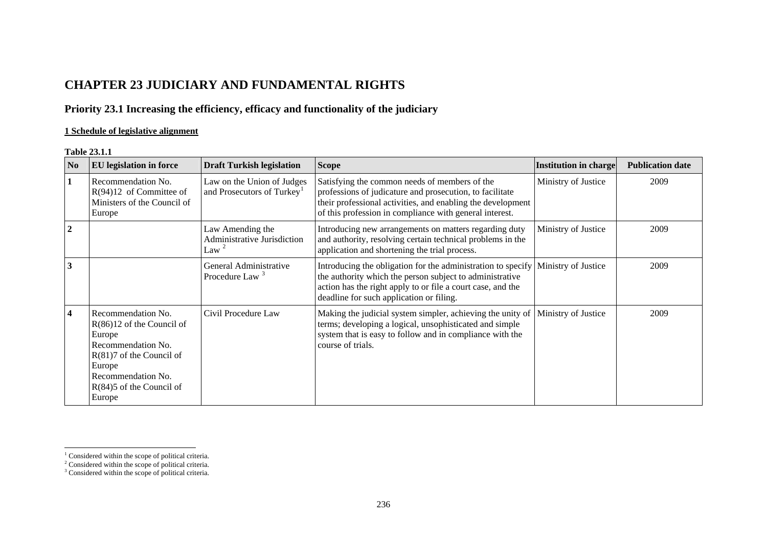# **CHAPTER 23 JUDICIARY AND FUNDAMENTAL RIGHTS**

# **Priority 23.1 Increasing the efficiency, efficacy and functionality of the judiciary**

## **1 Schedule of legislative alignment**

### **Table 23.1.1**

| $\overline{\bf No}$     | <b>EU</b> legislation in force                                                                                                                                                          | <b>Draft Turkish legislation</b>                                     | <b>Scope</b>                                                                                                                                                                                                                        | <b>Institution in charge</b> | <b>Publication date</b> |
|-------------------------|-----------------------------------------------------------------------------------------------------------------------------------------------------------------------------------------|----------------------------------------------------------------------|-------------------------------------------------------------------------------------------------------------------------------------------------------------------------------------------------------------------------------------|------------------------------|-------------------------|
| 1                       | Recommendation No.<br>$R(94)12$ of Committee of<br>Ministers of the Council of<br>Europe                                                                                                | Law on the Union of Judges<br>and Prosecutors of Turkey <sup>1</sup> | Satisfying the common needs of members of the<br>professions of judicature and prosecution, to facilitate<br>their professional activities, and enabling the development<br>of this profession in compliance with general interest. | Ministry of Justice          | 2009                    |
| $\overline{2}$          |                                                                                                                                                                                         | Law Amending the<br>Administrative Jurisdiction<br>Law <sup>2</sup>  | Introducing new arrangements on matters regarding duty<br>and authority, resolving certain technical problems in the<br>application and shortening the trial process.                                                               | Ministry of Justice          | 2009                    |
| 3                       |                                                                                                                                                                                         | General Administrative<br>Procedure Law <sup>3</sup>                 | Introducing the obligation for the administration to specify<br>the authority which the person subject to administrative<br>action has the right apply to or file a court case, and the<br>deadline for such application or filing. | Ministry of Justice          | 2009                    |
| $\overline{\mathbf{4}}$ | Recommendation No.<br>$R(86)12$ of the Council of<br>Europe<br>Recommendation No.<br>$R(81)7$ of the Council of<br>Europe<br>Recommendation No.<br>$R(84)5$ of the Council of<br>Europe | Civil Procedure Law                                                  | Making the judicial system simpler, achieving the unity of<br>terms; developing a logical, unsophisticated and simple<br>system that is easy to follow and in compliance with the<br>course of trials.                              | Ministry of Justice          | 2009                    |

<span id="page-0-0"></span> $1$  Considered within the scope of political criteria.

<span id="page-0-1"></span><sup>&</sup>lt;sup>2</sup> Considered within the scope of political criteria.

<span id="page-0-2"></span><sup>&</sup>lt;sup>3</sup> Considered within the scope of political criteria.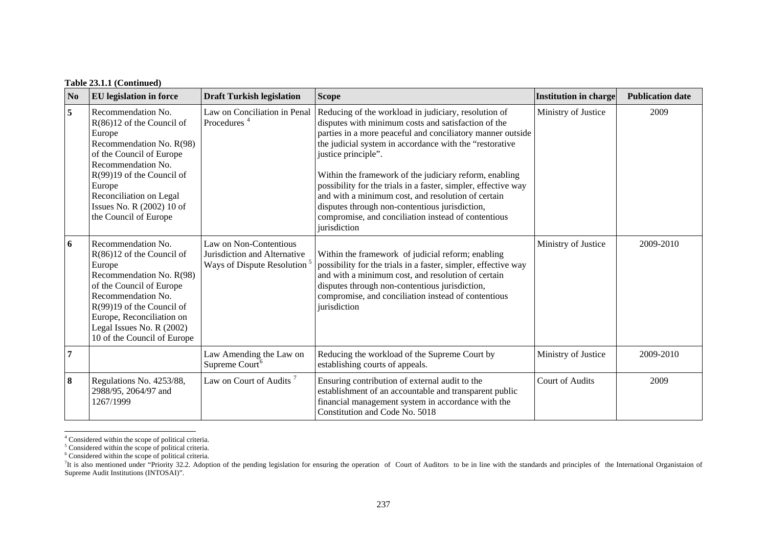### **Table 23.1.1 (Continued)**

| N <sub>0</sub> | <b>EU</b> legislation in force                                                                                                                                                                                                                                      | <b>Draft Turkish legislation</b>                                                                  | <b>Scope</b>                                                                                                                                                                                                                                                                                                                                                                                                                                                                                                                                                           | Institution in charge  | <b>Publication date</b> |
|----------------|---------------------------------------------------------------------------------------------------------------------------------------------------------------------------------------------------------------------------------------------------------------------|---------------------------------------------------------------------------------------------------|------------------------------------------------------------------------------------------------------------------------------------------------------------------------------------------------------------------------------------------------------------------------------------------------------------------------------------------------------------------------------------------------------------------------------------------------------------------------------------------------------------------------------------------------------------------------|------------------------|-------------------------|
| 5              | Recommendation No.<br>$R(86)12$ of the Council of<br>Europe<br>Recommendation No. R(98)<br>of the Council of Europe<br>Recommendation No.<br>$R(99)19$ of the Council of<br>Europe<br>Reconciliation on Legal<br>Issues No. R (2002) 10 of<br>the Council of Europe | Law on Conciliation in Penal<br>Procedures <sup>4</sup>                                           | Reducing of the workload in judiciary, resolution of<br>disputes with minimum costs and satisfaction of the<br>parties in a more peaceful and conciliatory manner outside<br>the judicial system in accordance with the "restorative<br>justice principle".<br>Within the framework of the judiciary reform, enabling<br>possibility for the trials in a faster, simpler, effective way<br>and with a minimum cost, and resolution of certain<br>disputes through non-contentious jurisdiction,<br>compromise, and conciliation instead of contentious<br>jurisdiction | Ministry of Justice    | 2009                    |
| 6              | Recommendation No.<br>$R(86)12$ of the Council of<br>Europe<br>Recommendation No. R(98)<br>of the Council of Europe<br>Recommendation No.<br>$R(99)19$ of the Council of<br>Europe, Reconciliation on<br>Legal Issues No. R (2002)<br>10 of the Council of Europe   | Law on Non-Contentious<br>Jurisdiction and Alternative<br>Ways of Dispute Resolution <sup>5</sup> | Within the framework of judicial reform; enabling<br>possibility for the trials in a faster, simpler, effective way<br>and with a minimum cost, and resolution of certain<br>disputes through non-contentious jurisdiction,<br>compromise, and conciliation instead of contentious<br>jurisdiction                                                                                                                                                                                                                                                                     | Ministry of Justice    | 2009-2010               |
| $\overline{7}$ |                                                                                                                                                                                                                                                                     | Law Amending the Law on<br>Supreme Court <sup>6</sup>                                             | Reducing the workload of the Supreme Court by<br>establishing courts of appeals.                                                                                                                                                                                                                                                                                                                                                                                                                                                                                       | Ministry of Justice    | 2009-2010               |
| 8              | Regulations No. 4253/88,<br>2988/95, 2064/97 and<br>1267/1999                                                                                                                                                                                                       | Law on Court of Audits <sup>7</sup>                                                               | Ensuring contribution of external audit to the<br>establishment of an accountable and transparent public<br>financial management system in accordance with the<br>Constitution and Code No. 5018                                                                                                                                                                                                                                                                                                                                                                       | <b>Court of Audits</b> | 2009                    |

<span id="page-1-1"></span><span id="page-1-0"></span><sup>&</sup>lt;sup>4</sup> Considered within the scope of political criteria.

<span id="page-1-2"></span><sup>&</sup>lt;sup>5</sup> Considered within the scope of political criteria.

<sup>6</sup> Considered within the scope of political criteria.

<span id="page-1-3"></span><sup>&</sup>lt;sup>7</sup>It is also mentioned under "Priority 32.2. Adoption of the pending legislation for ensuring the operation of Court of Auditors to be in line with the standards and principles of the International Organistaion of Supreme Audit Institutions (INTOSAI)".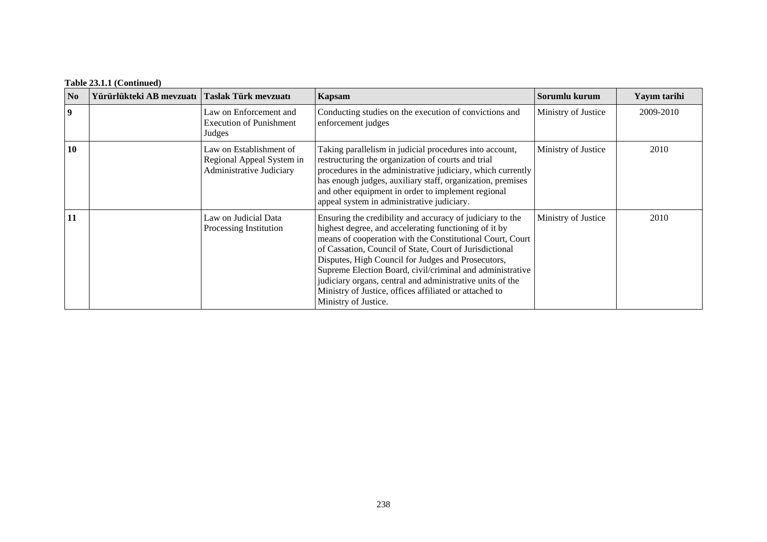## **Table 23.1.1 (Continued)**

| N <sub>o</sub> | Yürürlükteki AB mevzuatı   Taslak Türk mevzuatı |                                                                                  | Kapsam                                                                                                                                                                                                                                                                                                                                                                                                                                                                                                       | Sorumlu kurum       | Yayım tarihi |
|----------------|-------------------------------------------------|----------------------------------------------------------------------------------|--------------------------------------------------------------------------------------------------------------------------------------------------------------------------------------------------------------------------------------------------------------------------------------------------------------------------------------------------------------------------------------------------------------------------------------------------------------------------------------------------------------|---------------------|--------------|
| 9              |                                                 | Law on Enforcement and<br><b>Execution of Punishment</b><br>Judges               | Conducting studies on the execution of convictions and<br>enforcement judges                                                                                                                                                                                                                                                                                                                                                                                                                                 | Ministry of Justice | 2009-2010    |
| 10             |                                                 | Law on Establishment of<br>Regional Appeal System in<br>Administrative Judiciary | Taking parallelism in judicial procedures into account,<br>restructuring the organization of courts and trial<br>procedures in the administrative judiciary, which currently<br>has enough judges, auxiliary staff, organization, premises<br>and other equipment in order to implement regional<br>appeal system in administrative judiciary.                                                                                                                                                               | Ministry of Justice | 2010         |
| 11             |                                                 | Law on Judicial Data<br>Processing Institution                                   | Ensuring the credibility and accuracy of judiciary to the<br>highest degree, and accelerating functioning of it by<br>means of cooperation with the Constitutional Court, Court<br>of Cassation, Council of State, Court of Jurisdictional<br>Disputes, High Council for Judges and Prosecutors,<br>Supreme Election Board, civil/criminal and administrative<br>judiciary organs, central and administrative units of the<br>Ministry of Justice, offices affiliated or attached to<br>Ministry of Justice. | Ministry of Justice | 2010         |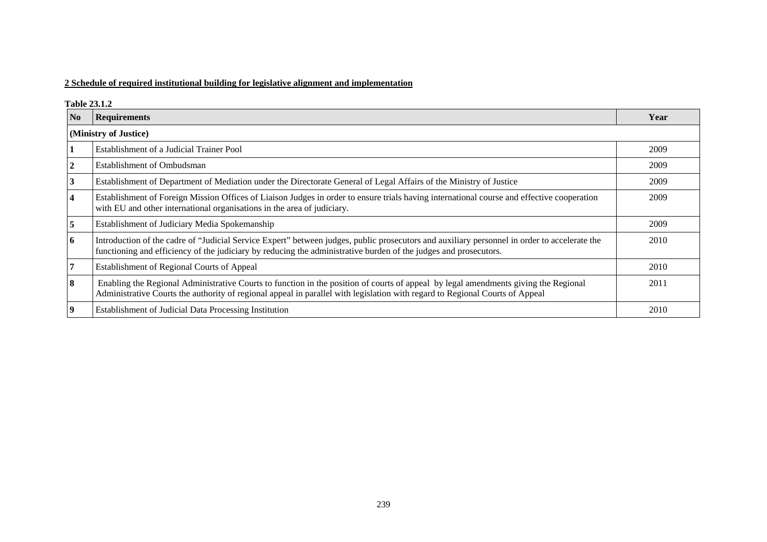### **2 Schedule of required institutional building for legislative alignment and implementation**

#### **Table 23.1.2**

| N <sub>o</sub>          | <b>Requirements</b>                                                                                                                                                                                                                                                 | Year |
|-------------------------|---------------------------------------------------------------------------------------------------------------------------------------------------------------------------------------------------------------------------------------------------------------------|------|
|                         | (Ministry of Justice)                                                                                                                                                                                                                                               |      |
|                         | Establishment of a Judicial Trainer Pool                                                                                                                                                                                                                            | 2009 |
|                         | <b>Establishment of Ombudsman</b>                                                                                                                                                                                                                                   | 2009 |
| 3                       | Establishment of Department of Mediation under the Directorate General of Legal Affairs of the Ministry of Justice                                                                                                                                                  | 2009 |
| $\overline{\mathbf{4}}$ | Establishment of Foreign Mission Offices of Liaison Judges in order to ensure trials having international course and effective cooperation<br>with EU and other international organisations in the area of judiciary.                                               | 2009 |
| 5                       | Establishment of Judiciary Media Spokemanship                                                                                                                                                                                                                       | 2009 |
| 6                       | Introduction of the cadre of "Judicial Service Expert" between judges, public prosecutors and auxiliary personnel in order to accelerate the<br>functioning and efficiency of the judiciary by reducing the administrative burden of the judges and prosecutors.    | 2010 |
|                         | Establishment of Regional Courts of Appeal                                                                                                                                                                                                                          | 2010 |
| 8                       | Enabling the Regional Administrative Courts to function in the position of courts of appeal by legal amendments giving the Regional<br>Administrative Courts the authority of regional appeal in parallel with legislation with regard to Regional Courts of Appeal | 2011 |
|                         | Establishment of Judicial Data Processing Institution                                                                                                                                                                                                               | 2010 |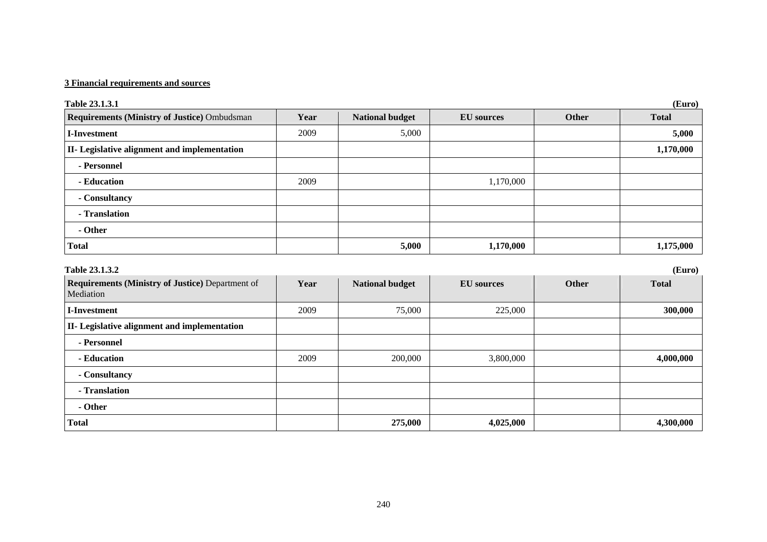| Table 23.1.3.1                                                       |      |                        |                   |              | (Euro)       |
|----------------------------------------------------------------------|------|------------------------|-------------------|--------------|--------------|
| <b>Requirements (Ministry of Justice) Ombudsman</b>                  | Year | <b>National budget</b> | <b>EU</b> sources | <b>Other</b> | <b>Total</b> |
| <b>I-Investment</b>                                                  | 2009 | 5,000                  |                   |              | 5,000        |
| II- Legislative alignment and implementation                         |      |                        |                   |              | 1,170,000    |
| - Personnel                                                          |      |                        |                   |              |              |
| - Education                                                          | 2009 |                        | 1,170,000         |              |              |
| - Consultancy                                                        |      |                        |                   |              |              |
| - Translation                                                        |      |                        |                   |              |              |
| - Other                                                              |      |                        |                   |              |              |
| <b>Total</b>                                                         |      | 5,000                  | 1,170,000         |              | 1,175,000    |
| Table 23.1.3.2                                                       |      |                        |                   |              | (Euro)       |
| <b>Requirements (Ministry of Justice) Department of</b><br>Mediation | Year | <b>National budget</b> | <b>EU</b> sources | Other        | <b>Total</b> |
| <b>I-Investment</b>                                                  | 2009 | 75,000                 | 225,000           |              | 300,000      |
| II- Legislative alignment and implementation                         |      |                        |                   |              |              |
| - Personnel                                                          |      |                        |                   |              |              |
| - Education                                                          | 2009 | 200,000                | 3,800,000         |              | 4,000,000    |
| - Consultancy                                                        |      |                        |                   |              |              |
| - Translation                                                        |      |                        |                   |              |              |
| - Other                                                              |      |                        |                   |              |              |
| <b>Total</b>                                                         |      | 275,000                | 4,025,000         |              | 4,300,000    |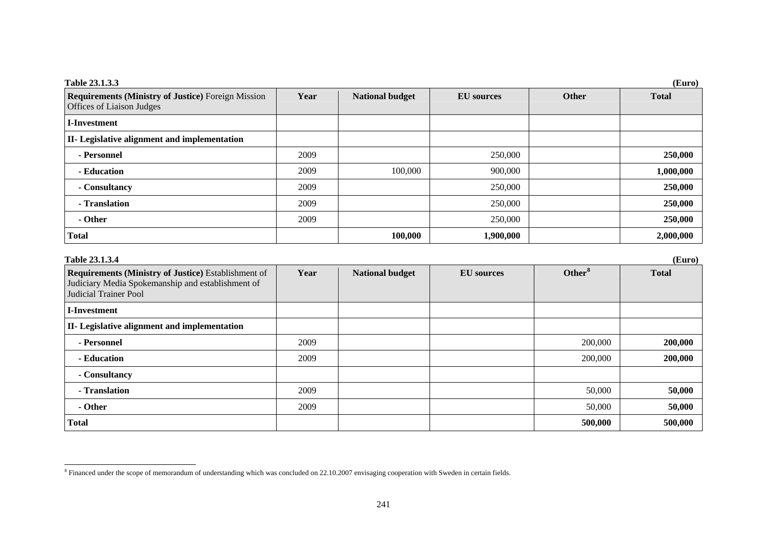| Table 23.1.3.3<br>(Euro)                                                               |      |                        |                   |              |              |  |
|----------------------------------------------------------------------------------------|------|------------------------|-------------------|--------------|--------------|--|
| <b>Requirements (Ministry of Justice)</b> Foreign Mission<br>Offices of Liaison Judges | Year | <b>National budget</b> | <b>EU</b> sources | <b>Other</b> | <b>Total</b> |  |
| <b>I-Investment</b>                                                                    |      |                        |                   |              |              |  |
| II- Legislative alignment and implementation                                           |      |                        |                   |              |              |  |
| - Personnel                                                                            | 2009 |                        | 250,000           |              | 250,000      |  |
| - Education                                                                            | 2009 | 100,000                | 900,000           |              | 1,000,000    |  |
| - Consultancy                                                                          | 2009 |                        | 250,000           |              | 250,000      |  |
| - Translation                                                                          | 2009 |                        | 250,000           |              | 250,000      |  |
| - Other                                                                                | 2009 |                        | 250,000           |              | 250,000      |  |
| <b>Total</b>                                                                           |      | 100,000                | 1,900,000         |              | 2,000,000    |  |

| Table 23.1.3.4<br>(Euro)                                                                                                          |      |                        |                   |                    |              |  |
|-----------------------------------------------------------------------------------------------------------------------------------|------|------------------------|-------------------|--------------------|--------------|--|
| Requirements (Ministry of Justice) Establishment of<br>Judiciary Media Spokemanship and establishment of<br>Judicial Trainer Pool | Year | <b>National budget</b> | <b>EU</b> sources | Other <sup>8</sup> | <b>Total</b> |  |
| <b>I-Investment</b>                                                                                                               |      |                        |                   |                    |              |  |
| II- Legislative alignment and implementation                                                                                      |      |                        |                   |                    |              |  |
| - Personnel                                                                                                                       | 2009 |                        |                   | 200,000            | 200,000      |  |
| - Education                                                                                                                       | 2009 |                        |                   | 200,000            | 200,000      |  |
| - Consultancy                                                                                                                     |      |                        |                   |                    |              |  |
| - Translation                                                                                                                     | 2009 |                        |                   | 50,000             | 50,000       |  |
| - Other                                                                                                                           | 2009 |                        |                   | 50,000             | 50,000       |  |
| <b>Total</b>                                                                                                                      |      |                        |                   | 500,000            | 500,000      |  |

<span id="page-5-0"></span><sup>&</sup>lt;sup>8</sup> Financed under the scope of memorandum of understanding which was concluded on 22.10.2007 envisaging cooperation with Sweden in certain fields.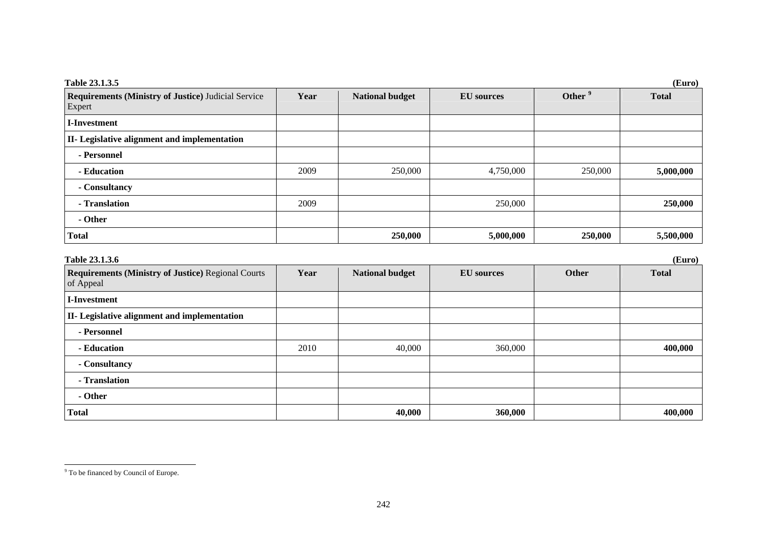| Table 23.1.3.5<br>(Euro)                                             |      |                        |                   |         |              |
|----------------------------------------------------------------------|------|------------------------|-------------------|---------|--------------|
| <b>Requirements (Ministry of Justice)</b> Judicial Service<br>Expert | Year | <b>National budget</b> | <b>EU</b> sources | Other   | <b>Total</b> |
| <b>I-Investment</b>                                                  |      |                        |                   |         |              |
| II- Legislative alignment and implementation                         |      |                        |                   |         |              |
| - Personnel                                                          |      |                        |                   |         |              |
| - Education                                                          | 2009 | 250,000                | 4,750,000         | 250,000 | 5,000,000    |
| - Consultancy                                                        |      |                        |                   |         |              |
| - Translation                                                        | 2009 |                        | 250,000           |         | 250,000      |
| - Other                                                              |      |                        |                   |         |              |
| <b>Total</b>                                                         |      | 250,000                | 5,000,000         | 250,000 | 5,500,000    |

<span id="page-6-0"></span>

| Table 23.1.3.6<br>(Euro)                                               |      |                        |                   |       |              |  |
|------------------------------------------------------------------------|------|------------------------|-------------------|-------|--------------|--|
| <b>Requirements (Ministry of Justice) Regional Courts</b><br>of Appeal | Year | <b>National budget</b> | <b>EU</b> sources | Other | <b>Total</b> |  |
| <b>I-Investment</b>                                                    |      |                        |                   |       |              |  |
| II- Legislative alignment and implementation                           |      |                        |                   |       |              |  |
| - Personnel                                                            |      |                        |                   |       |              |  |
| - Education                                                            | 2010 | 40,000                 | 360,000           |       | 400,000      |  |
| - Consultancy                                                          |      |                        |                   |       |              |  |
| - Translation                                                          |      |                        |                   |       |              |  |
| - Other                                                                |      |                        |                   |       |              |  |
| <b>Total</b>                                                           |      | 40,000                 | 360,000           |       | 400,000      |  |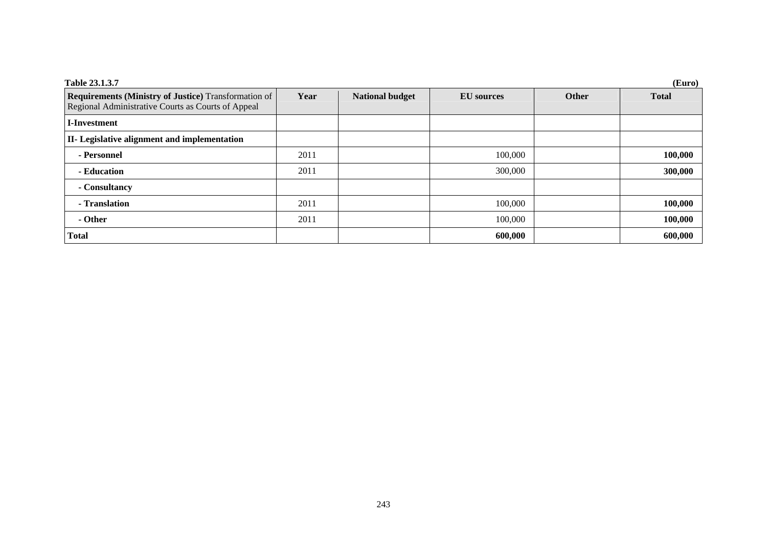| Table 23.1.3.7                                                                                                    |      |                        |                   |              | (Euro)       |
|-------------------------------------------------------------------------------------------------------------------|------|------------------------|-------------------|--------------|--------------|
| <b>Requirements (Ministry of Justice)</b> Transformation of<br>Regional Administrative Courts as Courts of Appeal | Year | <b>National budget</b> | <b>EU</b> sources | <b>Other</b> | <b>Total</b> |
| I-Investment                                                                                                      |      |                        |                   |              |              |
| II- Legislative alignment and implementation                                                                      |      |                        |                   |              |              |
| - Personnel                                                                                                       | 2011 |                        | 100,000           |              | 100,000      |
| - Education                                                                                                       | 2011 |                        | 300,000           |              | 300,000      |
| - Consultancy                                                                                                     |      |                        |                   |              |              |
| - Translation                                                                                                     | 2011 |                        | 100,000           |              | 100,000      |
| - Other                                                                                                           | 2011 |                        | 100,000           |              | 100,000      |
| <b>Total</b>                                                                                                      |      |                        | 600,000           |              | 600,000      |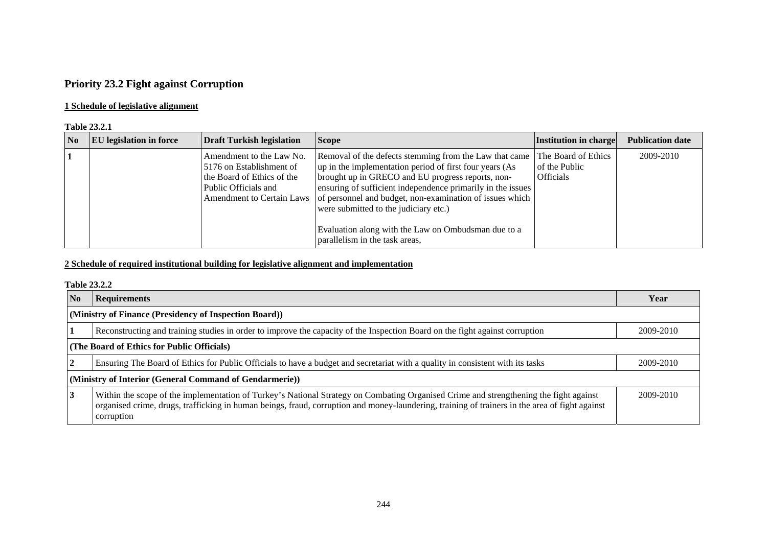## **Priority 23.2 Fight against Corruption**

## **1 Schedule of legislative alignment**

### **Table 23.2.1**

| $\mathbf{N_0}$ | <b>EU</b> legislation in force | <b>Draft Turkish legislation</b>                                                                           | <b>Scope</b>                                                                                                                                                                                                                                                                                                                                                                                                                                                  | Institution in charge                                    | <b>Publication date</b> |
|----------------|--------------------------------|------------------------------------------------------------------------------------------------------------|---------------------------------------------------------------------------------------------------------------------------------------------------------------------------------------------------------------------------------------------------------------------------------------------------------------------------------------------------------------------------------------------------------------------------------------------------------------|----------------------------------------------------------|-------------------------|
|                |                                | Amendment to the Law No.<br>5176 on Establishment of<br>the Board of Ethics of the<br>Public Officials and | Removal of the defects stemming from the Law that came<br>up in the implementation period of first four years (As<br>brought up in GRECO and EU progress reports, non-<br>ensuring of sufficient independence primarily in the issues<br>Amendment to Certain Laws of personnel and budget, non-examination of issues which<br>were submitted to the judiciary etc.)<br>Evaluation along with the Law on Ombudsman due to a<br>parallelism in the task areas, | The Board of Ethics<br>of the Public<br><b>Officials</b> | 2009-2010               |

## **2 Schedule of required institutional building for legislative alignment and implementation**

### **Table 23.2.2**

| <b>No</b>                                               | <b>Requirements</b>                                                                                                                                                                                                                                                                                   | Year      |  |  |
|---------------------------------------------------------|-------------------------------------------------------------------------------------------------------------------------------------------------------------------------------------------------------------------------------------------------------------------------------------------------------|-----------|--|--|
| (Ministry of Finance (Presidency of Inspection Board))  |                                                                                                                                                                                                                                                                                                       |           |  |  |
|                                                         | Reconstructing and training studies in order to improve the capacity of the Inspection Board on the fight against corruption                                                                                                                                                                          | 2009-2010 |  |  |
| (The Board of Ethics for Public Officials)              |                                                                                                                                                                                                                                                                                                       |           |  |  |
|                                                         | Ensuring The Board of Ethics for Public Officials to have a budget and secretariat with a quality in consistent with its tasks                                                                                                                                                                        | 2009-2010 |  |  |
| (Ministry of Interior (General Command of Gendarmerie)) |                                                                                                                                                                                                                                                                                                       |           |  |  |
| $\overline{3}$                                          | Within the scope of the implementation of Turkey's National Strategy on Combating Organised Crime and strengthening the fight against<br>organised crime, drugs, trafficking in human beings, fraud, corruption and money-laundering, training of trainers in the area of fight against<br>corruption | 2009-2010 |  |  |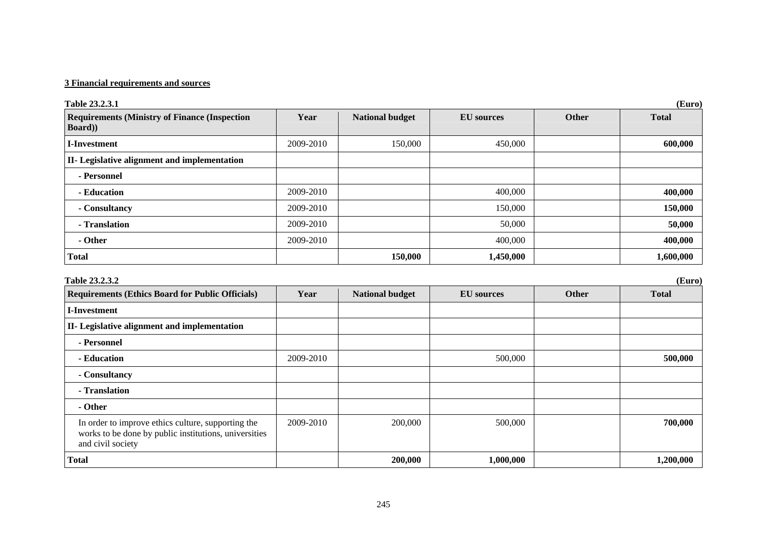| Table 23.2.3.1                                                                                                                   |           |                        |                   |              | (Euro)       |
|----------------------------------------------------------------------------------------------------------------------------------|-----------|------------------------|-------------------|--------------|--------------|
| <b>Requirements (Ministry of Finance (Inspection</b><br>Board))                                                                  | Year      | <b>National budget</b> | <b>EU</b> sources | <b>Other</b> | <b>Total</b> |
| <b>I-Investment</b>                                                                                                              | 2009-2010 | 150,000                | 450,000           |              | 600,000      |
| II- Legislative alignment and implementation                                                                                     |           |                        |                   |              |              |
| - Personnel                                                                                                                      |           |                        |                   |              |              |
| - Education                                                                                                                      | 2009-2010 |                        | 400,000           |              | 400,000      |
| - Consultancy                                                                                                                    | 2009-2010 |                        | 150,000           |              | 150,000      |
| - Translation                                                                                                                    | 2009-2010 |                        | 50,000            |              | 50,000       |
| - Other                                                                                                                          | 2009-2010 |                        | 400,000           |              | 400,000      |
| <b>Total</b>                                                                                                                     |           | 150,000                | 1,450,000         |              | 1,600,000    |
| Table 23.2.3.2                                                                                                                   |           |                        |                   |              | (Euro)       |
| <b>Requirements (Ethics Board for Public Officials)</b>                                                                          | Year      | <b>National budget</b> | <b>EU</b> sources | Other        | <b>Total</b> |
| <b>I-Investment</b>                                                                                                              |           |                        |                   |              |              |
| II- Legislative alignment and implementation                                                                                     |           |                        |                   |              |              |
| - Personnel                                                                                                                      |           |                        |                   |              |              |
| - Education                                                                                                                      | 2009-2010 |                        | 500,000           |              | 500,000      |
| - Consultancy                                                                                                                    |           |                        |                   |              |              |
| - Translation                                                                                                                    |           |                        |                   |              |              |
| - Other                                                                                                                          |           |                        |                   |              |              |
| In order to improve ethics culture, supporting the<br>works to be done by public institutions, universities<br>and civil society | 2009-2010 | 200,000                | 500,000           |              | 700,000      |
| <b>Total</b>                                                                                                                     |           | 200,000                | 1,000,000         |              | 1,200,000    |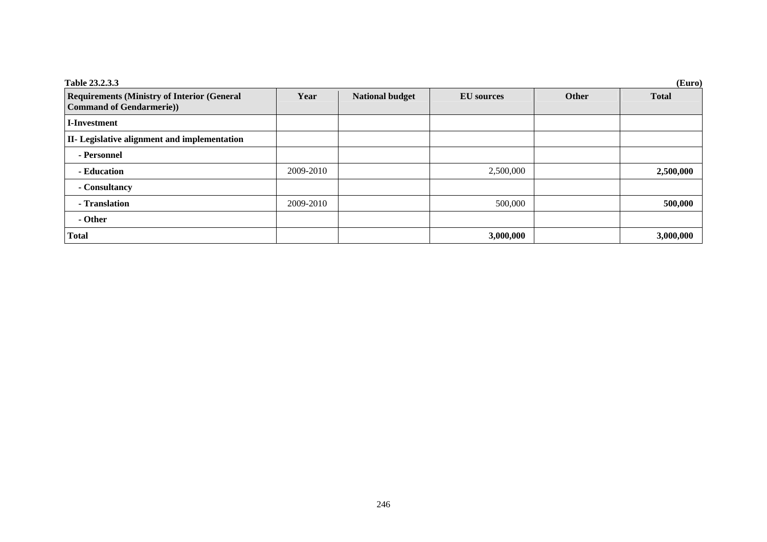| Table 23.2.3.3                                                                       |           |                        |                   |       | (Euro)       |
|--------------------------------------------------------------------------------------|-----------|------------------------|-------------------|-------|--------------|
| <b>Requirements (Ministry of Interior (General</b><br><b>Command of Gendarmerie)</b> | Year      | <b>National budget</b> | <b>EU</b> sources | Other | <b>Total</b> |
| <b>I-Investment</b>                                                                  |           |                        |                   |       |              |
| II- Legislative alignment and implementation                                         |           |                        |                   |       |              |
| - Personnel                                                                          |           |                        |                   |       |              |
| - Education                                                                          | 2009-2010 |                        | 2,500,000         |       | 2,500,000    |
| - Consultancy                                                                        |           |                        |                   |       |              |
| - Translation                                                                        | 2009-2010 |                        | 500,000           |       | 500,000      |
| - Other                                                                              |           |                        |                   |       |              |
| <b>Total</b>                                                                         |           |                        | 3,000,000         |       | 3,000,000    |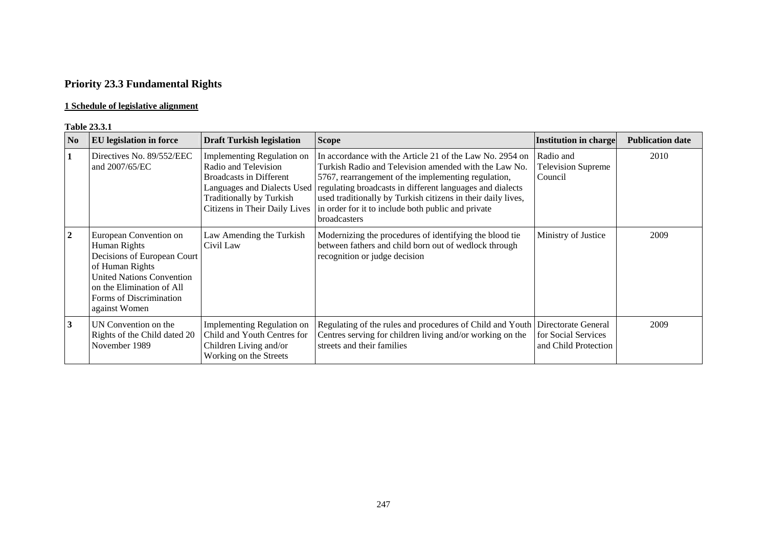# **Priority 23.3 Fundamental Rights**

## **1 Schedule of legislative alignment**

### **Table 23.3.1**

| N <sub>0</sub> | <b>EU</b> legislation in force                                                                                                                                                                               | <b>Draft Turkish legislation</b>                                                                                                                                                               | <b>Scope</b>                                                                                                                                                                                                                                                                                                                                                                       | <b>Institution in charge</b>                      | <b>Publication date</b> |
|----------------|--------------------------------------------------------------------------------------------------------------------------------------------------------------------------------------------------------------|------------------------------------------------------------------------------------------------------------------------------------------------------------------------------------------------|------------------------------------------------------------------------------------------------------------------------------------------------------------------------------------------------------------------------------------------------------------------------------------------------------------------------------------------------------------------------------------|---------------------------------------------------|-------------------------|
|                | Directives No. 89/552/EEC<br>and 2007/65/EC                                                                                                                                                                  | <b>Implementing Regulation on</b><br>Radio and Television<br><b>Broadcasts in Different</b><br>Languages and Dialects Used<br><b>Traditionally by Turkish</b><br>Citizens in Their Daily Lives | In accordance with the Article 21 of the Law No. 2954 on<br>Turkish Radio and Television amended with the Law No.<br>5767, rearrangement of the implementing regulation,<br>regulating broadcasts in different languages and dialects<br>used traditionally by Turkish citizens in their daily lives,<br>in order for it to include both public and private<br><b>broadcasters</b> | Radio and<br><b>Television Supreme</b><br>Council | 2010                    |
| $\overline{2}$ | European Convention on<br>Human Rights<br>Decisions of European Court<br>of Human Rights<br><b>United Nations Convention</b><br>on the Elimination of All<br><b>Forms of Discrimination</b><br>against Women | Law Amending the Turkish<br>Civil Law                                                                                                                                                          | Modernizing the procedures of identifying the blood tie<br>between fathers and child born out of wedlock through<br>recognition or judge decision                                                                                                                                                                                                                                  | Ministry of Justice                               | 2009                    |
| $\mathbf{3}$   | UN Convention on the<br>Rights of the Child dated 20<br>November 1989                                                                                                                                        | Implementing Regulation on<br>Child and Youth Centres for<br>Children Living and/or<br>Working on the Streets                                                                                  | Regulating of the rules and procedures of Child and Youth Directorate General<br>Centres serving for children living and/or working on the<br>streets and their families                                                                                                                                                                                                           | for Social Services<br>and Child Protection       | 2009                    |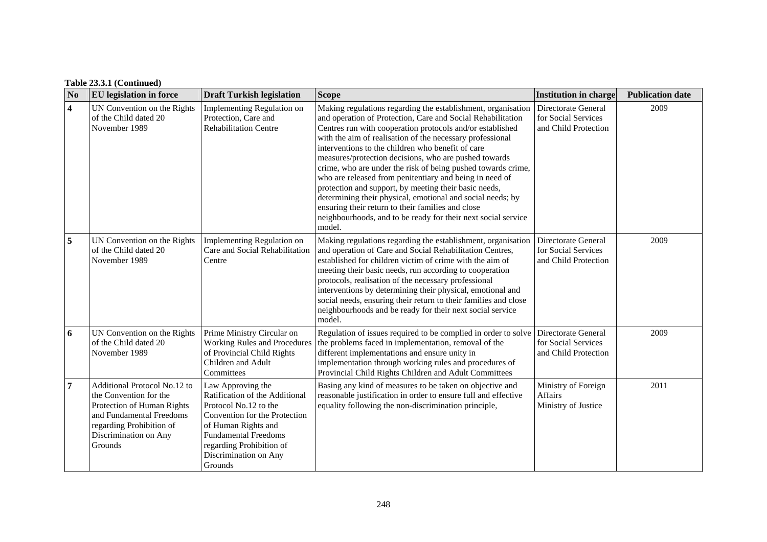## **Table 23.3.1 (Continued)**

| N <sub>0</sub>          | <b>EU</b> legislation in force                                                                                                                                                   | <b>Draft Turkish legislation</b>                                                                                                                                                                                                    | <b>Scope</b>                                                                                                                                                                                                                                                                                                                                                                                                                                                                                                                                                                                                                                                                                                                                          | <b>Institution in charge</b>                                       | <b>Publication date</b> |
|-------------------------|----------------------------------------------------------------------------------------------------------------------------------------------------------------------------------|-------------------------------------------------------------------------------------------------------------------------------------------------------------------------------------------------------------------------------------|-------------------------------------------------------------------------------------------------------------------------------------------------------------------------------------------------------------------------------------------------------------------------------------------------------------------------------------------------------------------------------------------------------------------------------------------------------------------------------------------------------------------------------------------------------------------------------------------------------------------------------------------------------------------------------------------------------------------------------------------------------|--------------------------------------------------------------------|-------------------------|
| $\overline{\mathbf{4}}$ | UN Convention on the Rights<br>of the Child dated 20<br>November 1989                                                                                                            | Implementing Regulation on<br>Protection, Care and<br><b>Rehabilitation Centre</b>                                                                                                                                                  | Making regulations regarding the establishment, organisation<br>and operation of Protection, Care and Social Rehabilitation<br>Centres run with cooperation protocols and/or established<br>with the aim of realisation of the necessary professional<br>interventions to the children who benefit of care<br>measures/protection decisions, who are pushed towards<br>crime, who are under the risk of being pushed towards crime,<br>who are released from penitentiary and being in need of<br>protection and support, by meeting their basic needs,<br>determining their physical, emotional and social needs; by<br>ensuring their return to their families and close<br>neighbourhoods, and to be ready for their next social service<br>model. | Directorate General<br>for Social Services<br>and Child Protection | 2009                    |
| 5                       | UN Convention on the Rights<br>of the Child dated 20<br>November 1989                                                                                                            | Implementing Regulation on<br>Care and Social Rehabilitation<br>Centre                                                                                                                                                              | Making regulations regarding the establishment, organisation<br>and operation of Care and Social Rehabilitation Centres,<br>established for children victim of crime with the aim of<br>meeting their basic needs, run according to cooperation<br>protocols, realisation of the necessary professional<br>interventions by determining their physical, emotional and<br>social needs, ensuring their return to their families and close<br>neighbourhoods and be ready for their next social service<br>model.                                                                                                                                                                                                                                       | Directorate General<br>for Social Services<br>and Child Protection | 2009                    |
| 6                       | UN Convention on the Rights<br>of the Child dated 20<br>November 1989                                                                                                            | Prime Ministry Circular on<br><b>Working Rules and Procedures</b><br>of Provincial Child Rights<br>Children and Adult<br>Committees                                                                                                 | Regulation of issues required to be complied in order to solve<br>the problems faced in implementation, removal of the<br>different implementations and ensure unity in<br>implementation through working rules and procedures of<br>Provincial Child Rights Children and Adult Committees                                                                                                                                                                                                                                                                                                                                                                                                                                                            | Directorate General<br>for Social Services<br>and Child Protection | 2009                    |
| $\overline{7}$          | Additional Protocol No.12 to<br>the Convention for the<br>Protection of Human Rights<br>and Fundamental Freedoms<br>regarding Prohibition of<br>Discrimination on Any<br>Grounds | Law Approving the<br>Ratification of the Additional<br>Protocol No.12 to the<br>Convention for the Protection<br>of Human Rights and<br><b>Fundamental Freedoms</b><br>regarding Prohibition of<br>Discrimination on Any<br>Grounds | Basing any kind of measures to be taken on objective and<br>reasonable justification in order to ensure full and effective<br>equality following the non-discrimination principle,                                                                                                                                                                                                                                                                                                                                                                                                                                                                                                                                                                    | Ministry of Foreign<br>Affairs<br>Ministry of Justice              | 2011                    |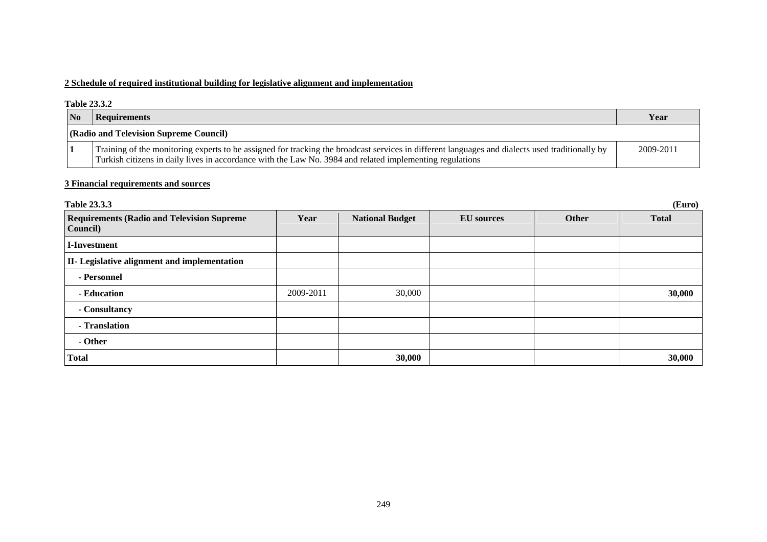## **2 Schedule of required institutional building for legislative alignment and implementation**

#### **Table 23.3.2**

| <b>No</b> | Requirements                                                                                                                                                                                                                                                | Year      |
|-----------|-------------------------------------------------------------------------------------------------------------------------------------------------------------------------------------------------------------------------------------------------------------|-----------|
|           | (Radio and Television Supreme Council)                                                                                                                                                                                                                      |           |
|           | Training of the monitoring experts to be assigned for tracking the broadcast services in different languages and dialects used traditionally by<br>Turkish citizens in daily lives in accordance with the Law No. 3984 and related implementing regulations | 2009-2011 |

| <b>Table 23.3.3</b>                                           |           |                        |                   |       | (Euro)       |
|---------------------------------------------------------------|-----------|------------------------|-------------------|-------|--------------|
| <b>Requirements (Radio and Television Supreme</b><br>Council) | Year      | <b>National Budget</b> | <b>EU</b> sources | Other | <b>Total</b> |
| I-Investment                                                  |           |                        |                   |       |              |
| <b>II-</b> Legislative alignment and implementation           |           |                        |                   |       |              |
| - Personnel                                                   |           |                        |                   |       |              |
| - Education                                                   | 2009-2011 | 30,000                 |                   |       | 30,000       |
| - Consultancy                                                 |           |                        |                   |       |              |
| - Translation                                                 |           |                        |                   |       |              |
| - Other                                                       |           |                        |                   |       |              |
| <b>Total</b>                                                  |           | 30,000                 |                   |       | 30,000       |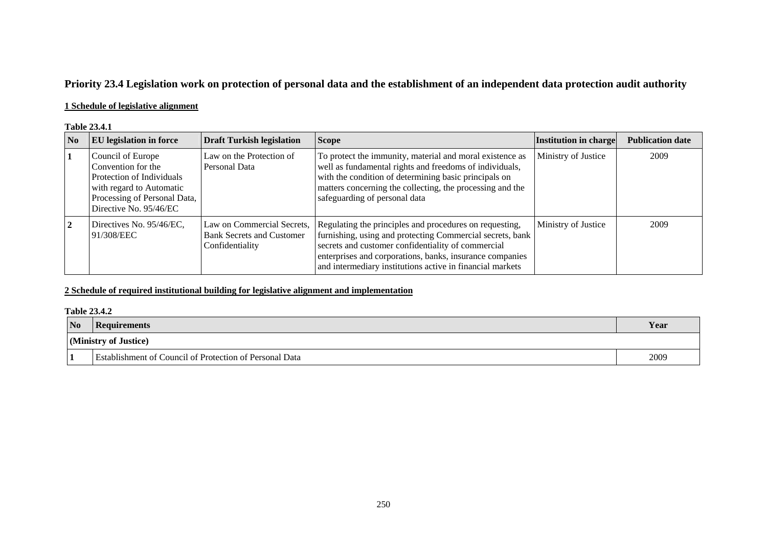## **Priority 23.4 Legislation work on protection of personal data and the establishment of an independent data protection audit authority**

## **1 Schedule of legislative alignment**

### **Table 23.4.1**

| No | <b>EU</b> legislation in force                                                                                                                             | <b>Draft Turkish legislation</b>                                                  | <b>Scope</b>                                                                                                                                                                                                                                                                                        | Institution in charge | <b>Publication date</b> |
|----|------------------------------------------------------------------------------------------------------------------------------------------------------------|-----------------------------------------------------------------------------------|-----------------------------------------------------------------------------------------------------------------------------------------------------------------------------------------------------------------------------------------------------------------------------------------------------|-----------------------|-------------------------|
|    | Council of Europe<br>Convention for the<br>Protection of Individuals<br>with regard to Automatic<br>Processing of Personal Data,<br>Directive No. 95/46/EC | Law on the Protection of<br>Personal Data                                         | To protect the immunity, material and moral existence as<br>well as fundamental rights and freedoms of individuals,<br>with the condition of determining basic principals on<br>matters concerning the collecting, the processing and the<br>safeguarding of personal data                          | Ministry of Justice   | 2009                    |
|    | Directives No. 95/46/EC,<br>91/308/EEC                                                                                                                     | Law on Commercial Secrets,<br><b>Bank Secrets and Customer</b><br>Confidentiality | Regulating the principles and procedures on requesting,<br>furnishing, using and protecting Commercial secrets, bank<br>secrets and customer confidentiality of commercial<br>enterprises and corporations, banks, insurance companies<br>and intermediary institutions active in financial markets | Ministry of Justice   | 2009                    |

## **2 Schedule of required institutional building for legislative alignment and implementation**

### **Table 23.4.2**

| N <sub>o</sub> | Requirements                                                   | Year |
|----------------|----------------------------------------------------------------|------|
|                | (Ministry of Justice)                                          |      |
| <u>II.</u>     | <b>Establishment of Council of Protection of Personal Data</b> | 2009 |